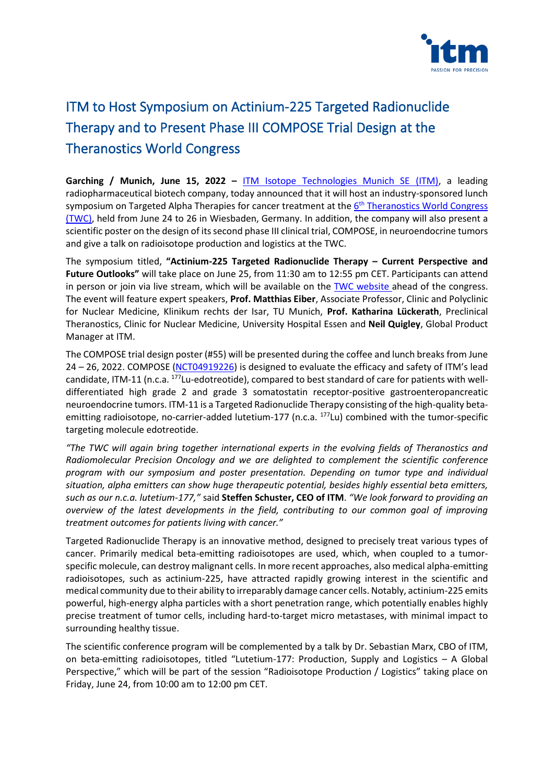

# ITM to Host Symposium on Actinium-225 Targeted Radionuclide Therapy and to Present Phase III COMPOSE Trial Design at the Theranostics World Congress

**Garching / Munich, June 15, 2022 –** [ITM Isotope Technologies Munich SE](https://itm-radiopharma.com/home) (ITM), a leading radiopharmaceutical biotech company, today announced that it will host an industry-sponsored lunch symposium on Targeted Alpha Therapies for cancer treatment at the *6<sup>th</sup> [Theranostics World Congress](https://www.twc-2022.org/)* (TWC), held from June 24 to 26 in Wiesbaden, Germany. In addition, the company will also present a scientific poster on the design of its second phase III clinical trial, COMPOSE, in neuroendocrine tumors and give a talk on radioisotope production and logistics at the TWC.

The symposium titled, **"Actinium-225 Targeted Radionuclide Therapy – Current Perspective and Future Outlooks"** will take place on June 25, from 11:30 am to 12:55 pm CET. Participants can attend in person or join via live stream, which will be available on the [TWC website](https://www.twc-2022.org/) ahead of the congress. The event will feature expert speakers, **Prof. Matthias Eiber**, Associate Professor, Clinic and Polyclinic for Nuclear Medicine, Klinikum rechts der Isar, TU Munich, **Prof. Katharina Lückerath**, Preclinical Theranostics, Clinic for Nuclear Medicine, University Hospital Essen and **Neil Quigley**, Global Product Manager at ITM.

The COMPOSE trial design poster (#55) will be presented during the coffee and lunch breaks from June 24 – 26, 2022. COMPOSE [\(NCT04919226\)](https://clinicaltrials.gov/ct2/show/NCT04919226?term=compose&draw=2&rank=1) is designed to evaluate the efficacy and safety of ITM's lead candidate, ITM-11 (n.c.a. <sup>177</sup>Lu-edotreotide), compared to best standard of care for patients with welldifferentiated high grade 2 and grade 3 somatostatin receptor-positive gastroenteropancreatic neuroendocrine tumors. ITM-11 is a Targeted Radionuclide Therapy consisting of the high-quality betaemitting radioisotope, no-carrier-added lutetium-177 (n.c.a. <sup>177</sup>Lu) combined with the tumor-specific targeting molecule edotreotide.

*"The TWC will again bring together international experts in the evolving fields of Theranostics and Radiomolecular Precision Oncology and we are delighted to complement the scientific conference program with our symposium and poster presentation. Depending on tumor type and individual situation, alpha emitters can show huge therapeutic potential, besides highly essential beta emitters, such as our n.c.a. lutetium-177,"* said **Steffen Schuster, CEO of ITM**. *"We look forward to providing an overview of the latest developments in the field, contributing to our common goal of improving treatment outcomes for patients living with cancer."*

Targeted Radionuclide Therapy is an innovative method, designed to precisely treat various types of cancer. Primarily medical beta-emitting radioisotopes are used, which, when coupled to a tumorspecific molecule, can destroy malignant cells. In more recent approaches, also medical alpha-emitting radioisotopes, such as actinium-225, have attracted rapidly growing interest in the scientific and medical community due to their ability to irreparably damage cancer cells. Notably, actinium-225 emits powerful, high-energy alpha particles with a short penetration range, which potentially enables highly precise treatment of tumor cells, including hard-to-target micro metastases, with minimal impact to surrounding healthy tissue.

The scientific conference program will be complemented by a talk by Dr. Sebastian Marx, CBO of ITM, on beta-emitting radioisotopes, titled "Lutetium-177: Production, Supply and Logistics – A Global Perspective," which will be part of the session "Radioisotope Production / Logistics" taking place on Friday, June 24, from 10:00 am to 12:00 pm CET.